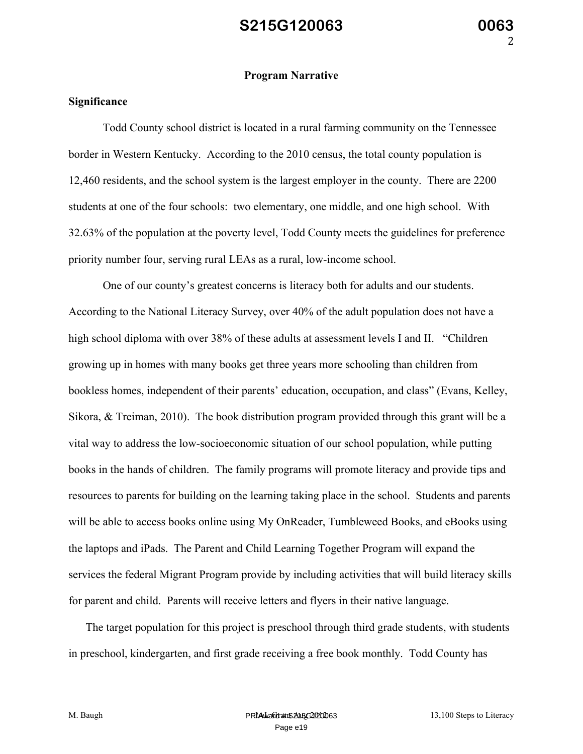#### **Program Narrative**

#### **Significance**

Todd County school district is located in a rural farming community on the Tennessee border in Western Kentucky. According to the 2010 census, the total county population is 12,460 residents, and the school system is the largest employer in the county. There are 2200 students at one of the four schools: two elementary, one middle, and one high school. With 32.63% of the population at the poverty level, Todd County meets the guidelines for preference priority number four, serving rural LEAs as a rural, low-income school.

One of our county's greatest concerns is literacy both for adults and our students. According to the National Literacy Survey, over 40% of the adult population does not have a high school diploma with over 38% of these adults at assessment levels I and II. "Children growing up in homes with many books get three years more schooling than children from bookless homes, independent of their parents' education, occupation, and class" (Evans, Kelley, Sikora, & Treiman, 2010). The book distribution program provided through this grant will be a vital way to address the low-socioeconomic situation of our school population, while putting books in the hands of children. The family programs will promote literacy and provide tips and resources to parents for building on the learning taking place in the school. Students and parents will be able to access books online using My OnReader, Tumbleweed Books, and eBooks using the laptops and iPads. The Parent and Child Learning Together Program will expand the services the federal Migrant Program provide by including activities that will build literacy skills for parent and child. Parents will receive letters and flyers in their native language.

The target population for this project is preschool through third grade students, with students in preschool, kindergarten, and first grade receiving a free book monthly. Todd County has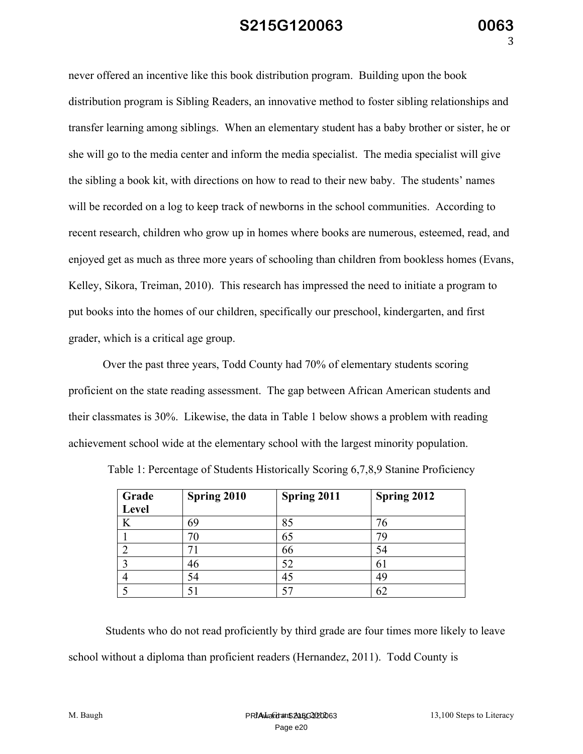never offered an incentive like this book distribution program. Building upon the book distribution program is Sibling Readers, an innovative method to foster sibling relationships and transfer learning among siblings. When an elementary student has a baby brother or sister, he or she will go to the media center and inform the media specialist. The media specialist will give the sibling a book kit, with directions on how to read to their new baby. The students' names will be recorded on a log to keep track of newborns in the school communities. According to recent research, children who grow up in homes where books are numerous, esteemed, read, and enjoyed get as much as three more years of schooling than children from bookless homes (Evans, Kelley, Sikora, Treiman, 2010). This research has impressed the need to initiate a program to put books into the homes of our children, specifically our preschool, kindergarten, and first grader, which is a critical age group.

Over the past three years, Todd County had 70% of elementary students scoring proficient on the state reading assessment. The gap between African American students and their classmates is 30%. Likewise, the data in Table 1 below shows a problem with reading achievement school wide at the elementary school with the largest minority population.

| Grade | Spring 2010 | Spring 2011 | Spring 2012 |
|-------|-------------|-------------|-------------|
| Level |             |             |             |
| K     | 69          | 85          | 76          |
|       | 70          | 65          | 79          |
|       |             | 66          | 54          |
|       | 46          | 52          | 61          |
|       | 54          | 45          | 49          |
|       |             |             | 62          |

Table 1: Percentage of Students Historically Scoring 6,7,8,9 Stanine Proficiency

Students who do not read proficiently by third grade are four times more likely to leave school without a diploma than proficient readers (Hernandez, 2011). Todd County is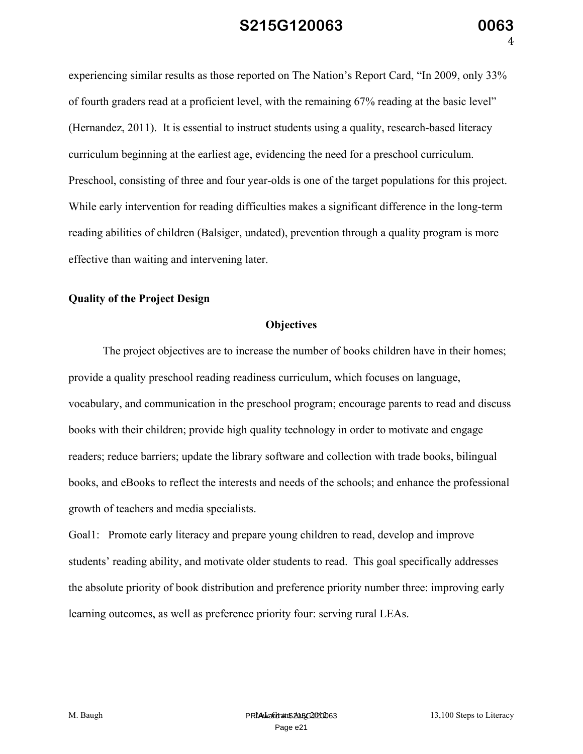experiencing similar results as those reported on The Nation's Report Card, "In 2009, only 33% of fourth graders read at a proficient level, with the remaining 67% reading at the basic level" (Hernandez, 2011). It is essential to instruct students using a quality, research-based literacy curriculum beginning at the earliest age, evidencing the need for a preschool curriculum. Preschool, consisting of three and four year-olds is one of the target populations for this project. While early intervention for reading difficulties makes a significant difference in the long-term reading abilities of children (Balsiger, undated), prevention through a quality program is more effective than waiting and intervening later.

#### **Quality of the Project Design**

#### **Objectives**

The project objectives are to increase the number of books children have in their homes; provide a quality preschool reading readiness curriculum, which focuses on language, vocabulary, and communication in the preschool program; encourage parents to read and discuss books with their children; provide high quality technology in order to motivate and engage readers; reduce barriers; update the library software and collection with trade books, bilingual books, and eBooks to reflect the interests and needs of the schools; and enhance the professional growth of teachers and media specialists.

Goal1: Promote early literacy and prepare young children to read, develop and improve students' reading ability, and motivate older students to read. This goal specifically addresses the absolute priority of book distribution and preference priority number three: improving early learning outcomes, as well as preference priority four: serving rural LEAs.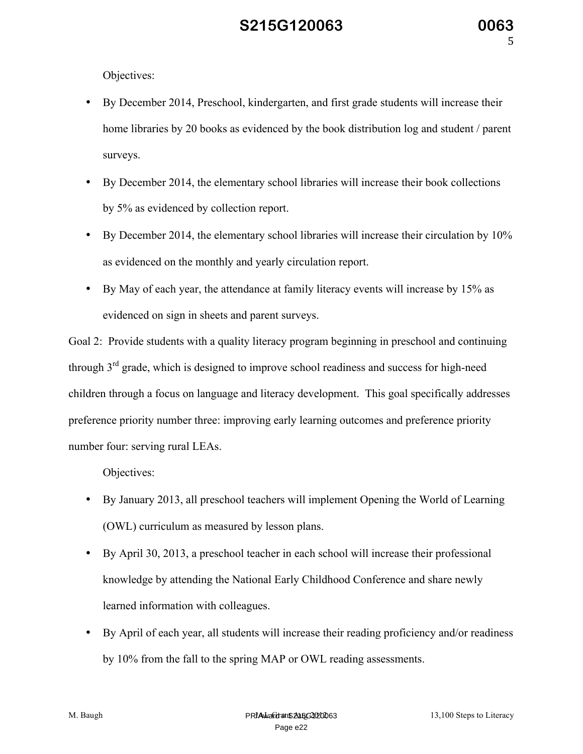Objectives:

- By December 2014, Preschool, kindergarten, and first grade students will increase their home libraries by 20 books as evidenced by the book distribution log and student / parent surveys.
- By December 2014, the elementary school libraries will increase their book collections by 5% as evidenced by collection report.
- By December 2014, the elementary school libraries will increase their circulation by 10% as evidenced on the monthly and yearly circulation report.
- By May of each year, the attendance at family literacy events will increase by 15% as evidenced on sign in sheets and parent surveys.

Goal 2: Provide students with a quality literacy program beginning in preschool and continuing through  $3<sup>rd</sup>$  grade, which is designed to improve school readiness and success for high-need children through a focus on language and literacy development. This goal specifically addresses preference priority number three: improving early learning outcomes and preference priority number four: serving rural LEAs.

Objectives:

- By January 2013, all preschool teachers will implement Opening the World of Learning (OWL) curriculum as measured by lesson plans.
- By April 30, 2013, a preschool teacher in each school will increase their professional knowledge by attending the National Early Childhood Conference and share newly learned information with colleagues.
- By April of each year, all students will increase their reading proficiency and/or readiness by 10% from the fall to the spring MAP or OWL reading assessments.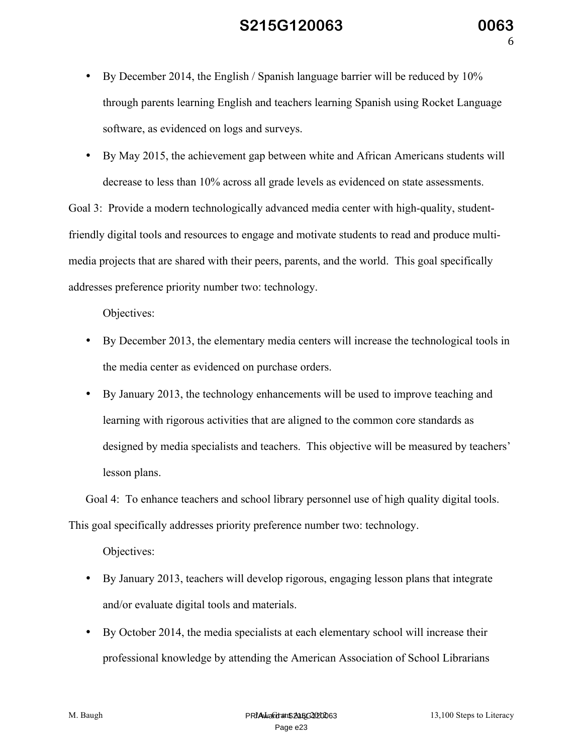- By December 2014, the English / Spanish language barrier will be reduced by 10% through parents learning English and teachers learning Spanish using Rocket Language software, as evidenced on logs and surveys.
- By May 2015, the achievement gap between white and African Americans students will decrease to less than 10% across all grade levels as evidenced on state assessments.

Goal 3: Provide a modern technologically advanced media center with high-quality, studentfriendly digital tools and resources to engage and motivate students to read and produce multimedia projects that are shared with their peers, parents, and the world. This goal specifically addresses preference priority number two: technology.

Objectives:

- By December 2013, the elementary media centers will increase the technological tools in the media center as evidenced on purchase orders.
- By January 2013, the technology enhancements will be used to improve teaching and learning with rigorous activities that are aligned to the common core standards as designed by media specialists and teachers. This objective will be measured by teachers' lesson plans.

Goal 4: To enhance teachers and school library personnel use of high quality digital tools. This goal specifically addresses priority preference number two: technology.

Objectives:

- By January 2013, teachers will develop rigorous, engaging lesson plans that integrate and/or evaluate digital tools and materials.
- By October 2014, the media specialists at each elementary school will increase their professional knowledge by attending the American Association of School Librarians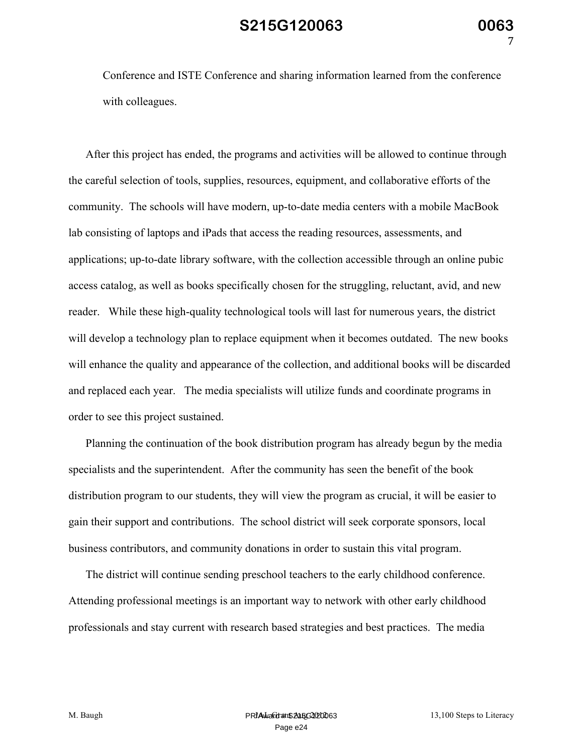Conference and ISTE Conference and sharing information learned from the conference with colleagues.

After this project has ended, the programs and activities will be allowed to continue through the careful selection of tools, supplies, resources, equipment, and collaborative efforts of the community. The schools will have modern, up-to-date media centers with a mobile MacBook lab consisting of laptops and iPads that access the reading resources, assessments, and applications; up-to-date library software, with the collection accessible through an online pubic access catalog, as well as books specifically chosen for the struggling, reluctant, avid, and new reader. While these high-quality technological tools will last for numerous years, the district will develop a technology plan to replace equipment when it becomes outdated. The new books will enhance the quality and appearance of the collection, and additional books will be discarded and replaced each year. The media specialists will utilize funds and coordinate programs in order to see this project sustained.

Planning the continuation of the book distribution program has already begun by the media specialists and the superintendent. After the community has seen the benefit of the book distribution program to our students, they will view the program as crucial, it will be easier to gain their support and contributions. The school district will seek corporate sponsors, local business contributors, and community donations in order to sustain this vital program.

The district will continue sending preschool teachers to the early childhood conference. Attending professional meetings is an important way to network with other early childhood professionals and stay current with research based strategies and best practices. The media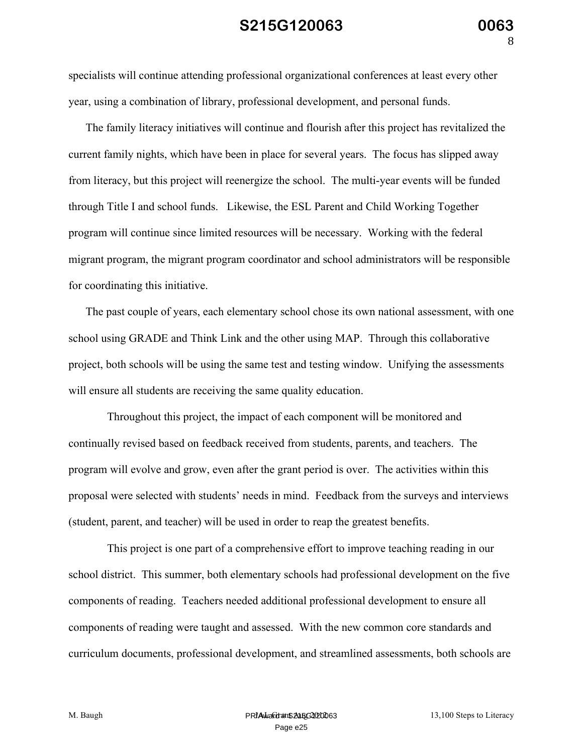specialists will continue attending professional organizational conferences at least every other year, using a combination of library, professional development, and personal funds.

The family literacy initiatives will continue and flourish after this project has revitalized the current family nights, which have been in place for several years. The focus has slipped away from literacy, but this project will reenergize the school. The multi-year events will be funded through Title I and school funds. Likewise, the ESL Parent and Child Working Together program will continue since limited resources will be necessary. Working with the federal migrant program, the migrant program coordinator and school administrators will be responsible for coordinating this initiative.

The past couple of years, each elementary school chose its own national assessment, with one school using GRADE and Think Link and the other using MAP. Through this collaborative project, both schools will be using the same test and testing window. Unifying the assessments will ensure all students are receiving the same quality education.

Throughout this project, the impact of each component will be monitored and continually revised based on feedback received from students, parents, and teachers. The program will evolve and grow, even after the grant period is over. The activities within this proposal were selected with students' needs in mind. Feedback from the surveys and interviews (student, parent, and teacher) will be used in order to reap the greatest benefits.

This project is one part of a comprehensive effort to improve teaching reading in our school district. This summer, both elementary schools had professional development on the five components of reading. Teachers needed additional professional development to ensure all components of reading were taught and assessed. With the new common core standards and curriculum documents, professional development, and streamlined assessments, both schools are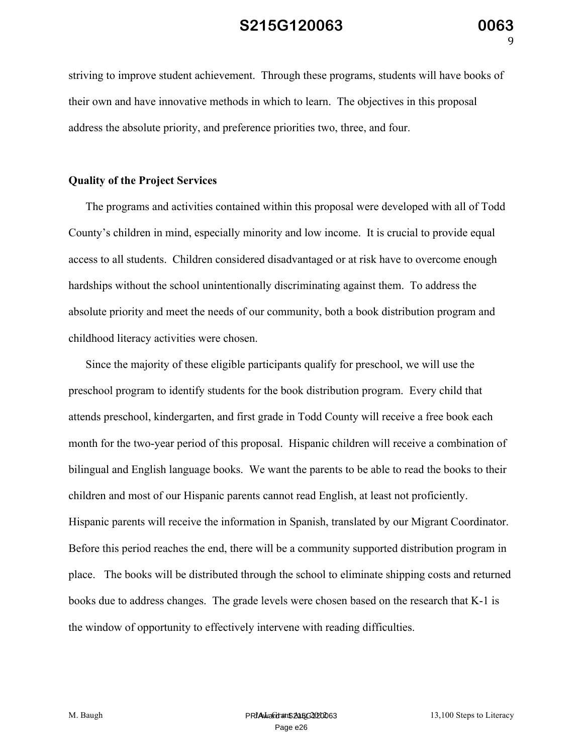striving to improve student achievement. Through these programs, students will have books of their own and have innovative methods in which to learn. The objectives in this proposal address the absolute priority, and preference priorities two, three, and four.

#### **Quality of the Project Services**

The programs and activities contained within this proposal were developed with all of Todd County's children in mind, especially minority and low income. It is crucial to provide equal access to all students. Children considered disadvantaged or at risk have to overcome enough hardships without the school unintentionally discriminating against them. To address the absolute priority and meet the needs of our community, both a book distribution program and childhood literacy activities were chosen.

Since the majority of these eligible participants qualify for preschool, we will use the preschool program to identify students for the book distribution program. Every child that attends preschool, kindergarten, and first grade in Todd County will receive a free book each month for the two-year period of this proposal. Hispanic children will receive a combination of bilingual and English language books. We want the parents to be able to read the books to their children and most of our Hispanic parents cannot read English, at least not proficiently. Hispanic parents will receive the information in Spanish, translated by our Migrant Coordinator. Before this period reaches the end, there will be a community supported distribution program in place. The books will be distributed through the school to eliminate shipping costs and returned books due to address changes. The grade levels were chosen based on the research that K-1 is the window of opportunity to effectively intervene with reading difficulties.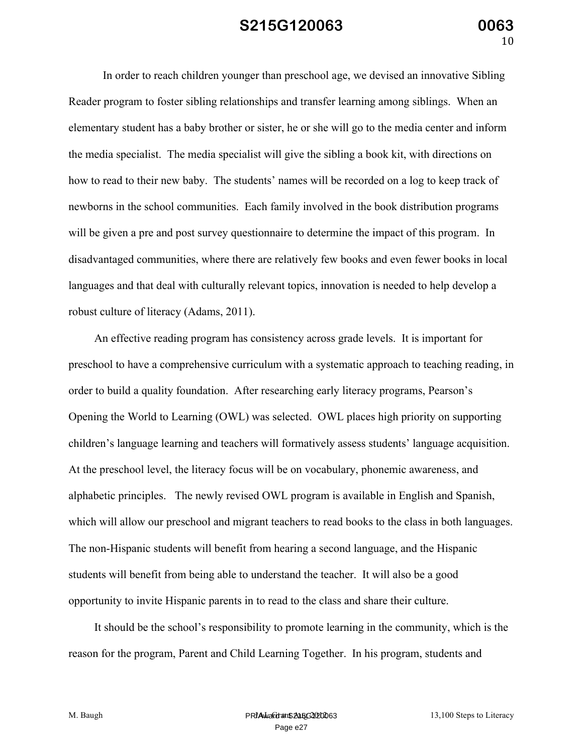In order to reach children younger than preschool age, we devised an innovative Sibling Reader program to foster sibling relationships and transfer learning among siblings. When an elementary student has a baby brother or sister, he or she will go to the media center and inform the media specialist. The media specialist will give the sibling a book kit, with directions on how to read to their new baby. The students' names will be recorded on a log to keep track of newborns in the school communities. Each family involved in the book distribution programs will be given a pre and post survey questionnaire to determine the impact of this program. In disadvantaged communities, where there are relatively few books and even fewer books in local languages and that deal with culturally relevant topics, innovation is needed to help develop a robust culture of literacy (Adams, 2011).

An effective reading program has consistency across grade levels. It is important for preschool to have a comprehensive curriculum with a systematic approach to teaching reading, in order to build a quality foundation. After researching early literacy programs, Pearson's Opening the World to Learning (OWL) was selected. OWL places high priority on supporting children's language learning and teachers will formatively assess students' language acquisition. At the preschool level, the literacy focus will be on vocabulary, phonemic awareness, and alphabetic principles. The newly revised OWL program is available in English and Spanish, which will allow our preschool and migrant teachers to read books to the class in both languages. The non-Hispanic students will benefit from hearing a second language, and the Hispanic students will benefit from being able to understand the teacher. It will also be a good opportunity to invite Hispanic parents in to read to the class and share their culture.

It should be the school's responsibility to promote learning in the community, which is the reason for the program, Parent and Child Learning Together. In his program, students and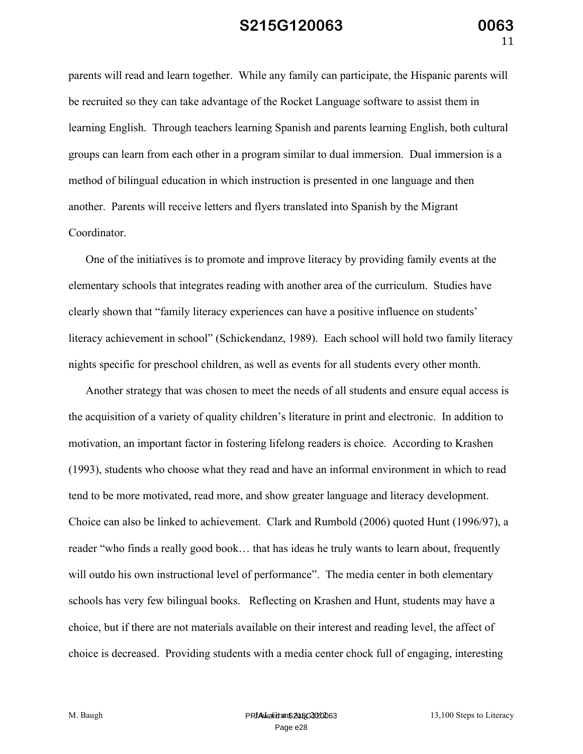parents will read and learn together. While any family can participate, the Hispanic parents will be recruited so they can take advantage of the Rocket Language software to assist them in learning English. Through teachers learning Spanish and parents learning English, both cultural groups can learn from each other in a program similar to dual immersion. Dual immersion is a method of bilingual education in which instruction is presented in one language and then another. Parents will receive letters and flyers translated into Spanish by the Migrant Coordinator.

One of the initiatives is to promote and improve literacy by providing family events at the elementary schools that integrates reading with another area of the curriculum. Studies have clearly shown that "family literacy experiences can have a positive influence on students' literacy achievement in school" (Schickendanz, 1989). Each school will hold two family literacy nights specific for preschool children, as well as events for all students every other month.

Another strategy that was chosen to meet the needs of all students and ensure equal access is the acquisition of a variety of quality children's literature in print and electronic. In addition to motivation, an important factor in fostering lifelong readers is choice. According to Krashen (1993), students who choose what they read and have an informal environment in which to read tend to be more motivated, read more, and show greater language and literacy development. Choice can also be linked to achievement. Clark and Rumbold (2006) quoted Hunt (1996/97), a reader "who finds a really good book… that has ideas he truly wants to learn about, frequently will outdo his own instructional level of performance". The media center in both elementary schools has very few bilingual books. Reflecting on Krashen and Hunt, students may have a choice, but if there are not materials available on their interest and reading level, the affect of choice is decreased. Providing students with a media center chock full of engaging, interesting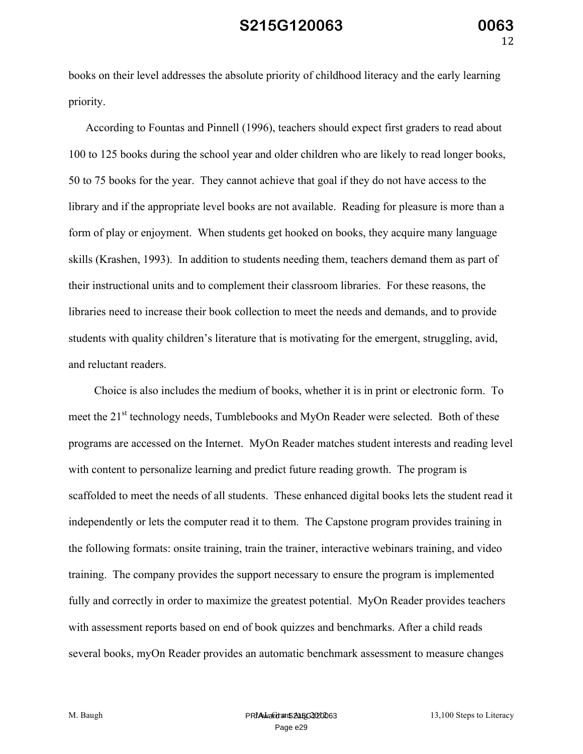books on their level addresses the absolute priority of childhood literacy and the early learning priority.

According to Fountas and Pinnell (1996), teachers should expect first graders to read about 100 to 125 books during the school year and older children who are likely to read longer books, 50 to 75 books for the year. They cannot achieve that goal if they do not have access to the library and if the appropriate level books are not available. Reading for pleasure is more than a form of play or enjoyment. When students get hooked on books, they acquire many language skills (Krashen, 1993). In addition to students needing them, teachers demand them as part of their instructional units and to complement their classroom libraries. For these reasons, the libraries need to increase their book collection to meet the needs and demands, and to provide students with quality children's literature that is motivating for the emergent, struggling, avid, and reluctant readers.

Choice is also includes the medium of books, whether it is in print or electronic form. To meet the 21<sup>st</sup> technology needs, Tumblebooks and MyOn Reader were selected. Both of these programs are accessed on the Internet. MyOn Reader matches student interests and reading level with content to personalize learning and predict future reading growth. The program is scaffolded to meet the needs of all students. These enhanced digital books lets the student read it independently or lets the computer read it to them. The Capstone program provides training in the following formats: onsite training, train the trainer, interactive webinars training, and video training. The company provides the support necessary to ensure the program is implemented fully and correctly in order to maximize the greatest potential. MyOn Reader provides teachers with assessment reports based on end of book quizzes and benchmarks. After a child reads several books, myOn Reader provides an automatic benchmark assessment to measure changes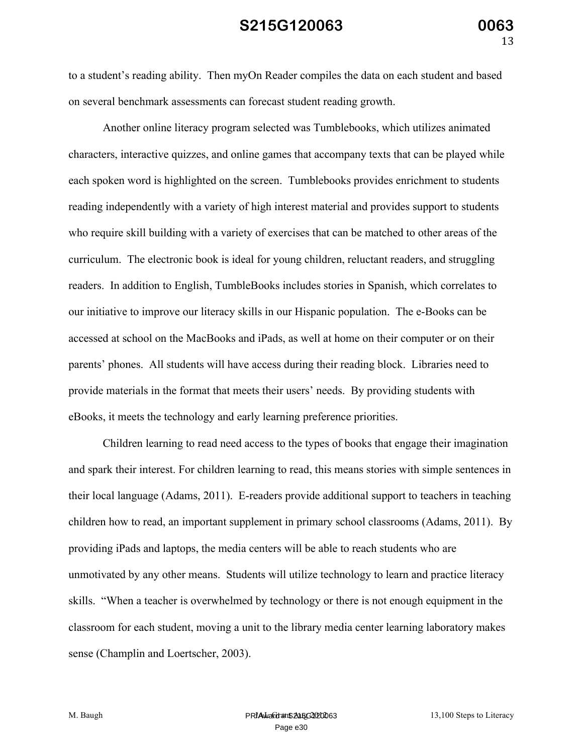to a student's reading ability. Then myOn Reader compiles the data on each student and based on several benchmark assessments can forecast student reading growth.

Another online literacy program selected was Tumblebooks, which utilizes animated characters, interactive quizzes, and online games that accompany texts that can be played while each spoken word is highlighted on the screen. Tumblebooks provides enrichment to students reading independently with a variety of high interest material and provides support to students who require skill building with a variety of exercises that can be matched to other areas of the curriculum. The electronic book is ideal for young children, reluctant readers, and struggling readers. In addition to English, TumbleBooks includes stories in Spanish, which correlates to our initiative to improve our literacy skills in our Hispanic population. The e-Books can be accessed at school on the MacBooks and iPads, as well at home on their computer or on their parents' phones. All students will have access during their reading block. Libraries need to provide materials in the format that meets their users' needs. By providing students with eBooks, it meets the technology and early learning preference priorities.

Children learning to read need access to the types of books that engage their imagination and spark their interest. For children learning to read, this means stories with simple sentences in their local language (Adams, 2011). E-readers provide additional support to teachers in teaching children how to read, an important supplement in primary school classrooms (Adams, 2011). By providing iPads and laptops, the media centers will be able to reach students who are unmotivated by any other means. Students will utilize technology to learn and practice literacy skills. "When a teacher is overwhelmed by technology or there is not enough equipment in the classroom for each student, moving a unit to the library media center learning laboratory makes sense (Champlin and Loertscher, 2003).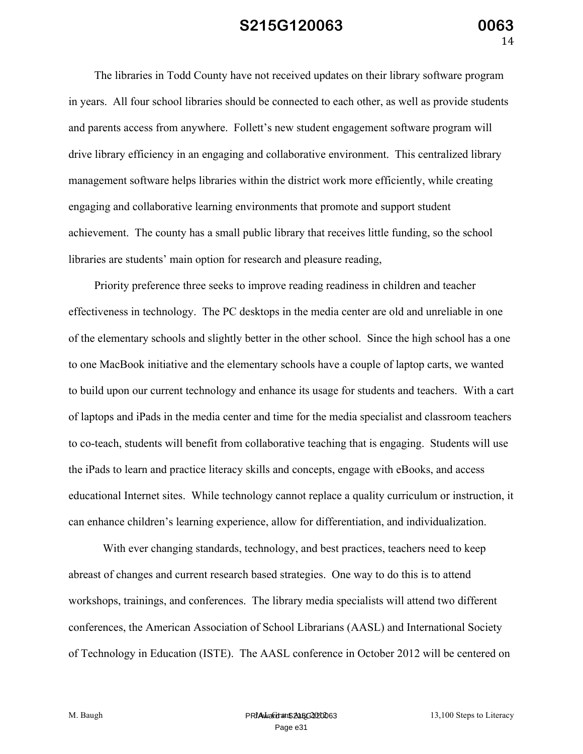The libraries in Todd County have not received updates on their library software program in years. All four school libraries should be connected to each other, as well as provide students and parents access from anywhere. Follett's new student engagement software program will drive library efficiency in an engaging and collaborative environment. This centralized library management software helps libraries within the district work more efficiently, while creating engaging and collaborative learning environments that promote and support student achievement. The county has a small public library that receives little funding, so the school libraries are students' main option for research and pleasure reading,

Priority preference three seeks to improve reading readiness in children and teacher effectiveness in technology. The PC desktops in the media center are old and unreliable in one of the elementary schools and slightly better in the other school. Since the high school has a one to one MacBook initiative and the elementary schools have a couple of laptop carts, we wanted to build upon our current technology and enhance its usage for students and teachers. With a cart of laptops and iPads in the media center and time for the media specialist and classroom teachers to co-teach, students will benefit from collaborative teaching that is engaging. Students will use the iPads to learn and practice literacy skills and concepts, engage with eBooks, and access educational Internet sites. While technology cannot replace a quality curriculum or instruction, it can enhance children's learning experience, allow for differentiation, and individualization.

With ever changing standards, technology, and best practices, teachers need to keep abreast of changes and current research based strategies. One way to do this is to attend workshops, trainings, and conferences. The library media specialists will attend two different conferences, the American Association of School Librarians (AASL) and International Society of Technology in Education (ISTE). The AASL conference in October 2012 will be centered on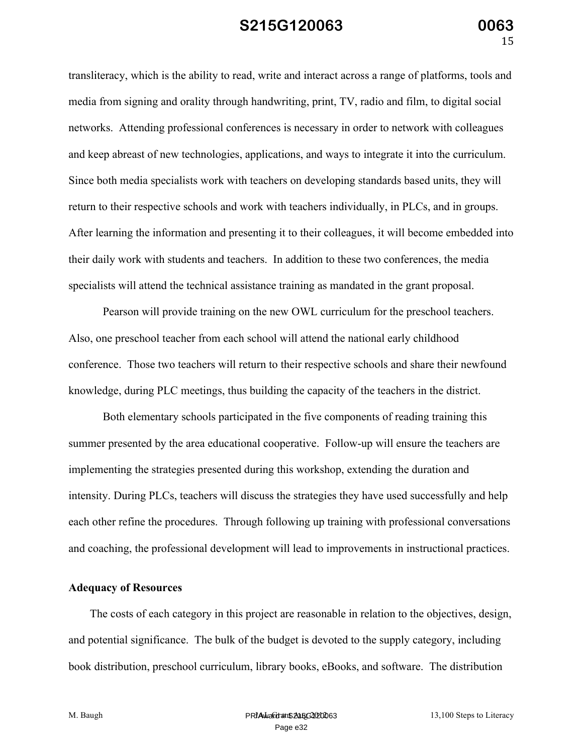transliteracy, which is the ability to read, write and interact across a range of platforms, tools and media from signing and orality through handwriting, print, TV, radio and film, to digital social networks. Attending professional conferences is necessary in order to network with colleagues and keep abreast of new technologies, applications, and ways to integrate it into the curriculum. Since both media specialists work with teachers on developing standards based units, they will return to their respective schools and work with teachers individually, in PLCs, and in groups. After learning the information and presenting it to their colleagues, it will become embedded into their daily work with students and teachers. In addition to these two conferences, the media specialists will attend the technical assistance training as mandated in the grant proposal.

Pearson will provide training on the new OWL curriculum for the preschool teachers. Also, one preschool teacher from each school will attend the national early childhood conference. Those two teachers will return to their respective schools and share their newfound knowledge, during PLC meetings, thus building the capacity of the teachers in the district.

Both elementary schools participated in the five components of reading training this summer presented by the area educational cooperative. Follow-up will ensure the teachers are implementing the strategies presented during this workshop, extending the duration and intensity. During PLCs, teachers will discuss the strategies they have used successfully and help each other refine the procedures. Through following up training with professional conversations and coaching, the professional development will lead to improvements in instructional practices.

#### **Adequacy of Resources**

The costs of each category in this project are reasonable in relation to the objectives, design, and potential significance. The bulk of the budget is devoted to the supply category, including book distribution, preschool curriculum, library books, eBooks, and software. The distribution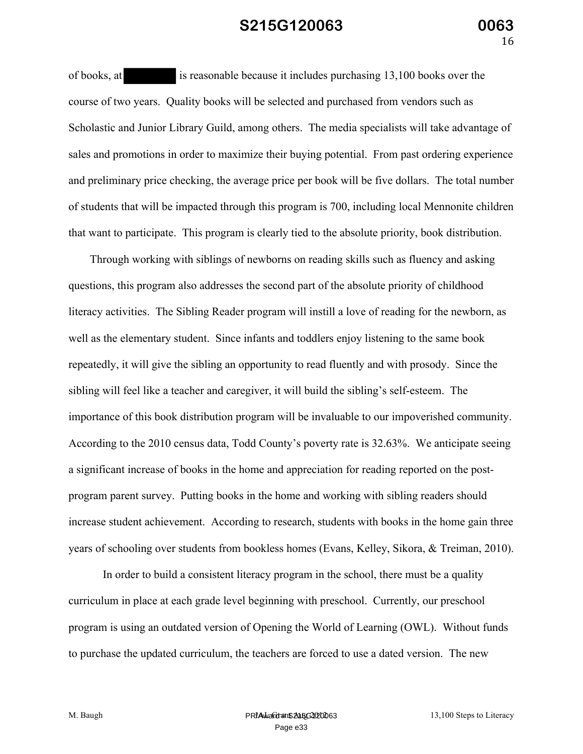of books, at is reasonable because it includes purchasing 13,100 books over the course of two years. Quality books will be selected and purchased from vendors such as Scholastic and Junior Library Guild, among others. The media specialists will take advantage of sales and promotions in order to maximize their buying potential. From past ordering experience and preliminary price checking, the average price per book will be five dollars. The total number of students that will be impacted through this program is 700, including local Mennonite children that want to participate. This program is clearly tied to the absolute priority, book distribution.

Through working with siblings of newborns on reading skills such as fluency and asking questions, this program also addresses the second part of the absolute priority of childhood literacy activities. The Sibling Reader program will instill a love of reading for the newborn, as well as the elementary student. Since infants and toddlers enjoy listening to the same book repeatedly, it will give the sibling an opportunity to read fluently and with prosody. Since the sibling will feel like a teacher and caregiver, it will build the sibling's self-esteem. The importance of this book distribution program will be invaluable to our impoverished community. According to the 2010 census data, Todd County's poverty rate is 32.63%. We anticipate seeing a significant increase of books in the home and appreciation for reading reported on the postprogram parent survey. Putting books in the home and working with sibling readers should increase student achievement. According to research, students with books in the home gain three years of schooling over students from bookless homes (Evans, Kelley, Sikora, & Treiman, 2010).

In order to build a consistent literacy program in the school, there must be a quality curriculum in place at each grade level beginning with preschool. Currently, our preschool program is using an outdated version of Opening the World of Learning (OWL). Without funds to purchase the updated curriculum, the teachers are forced to use a dated version. The new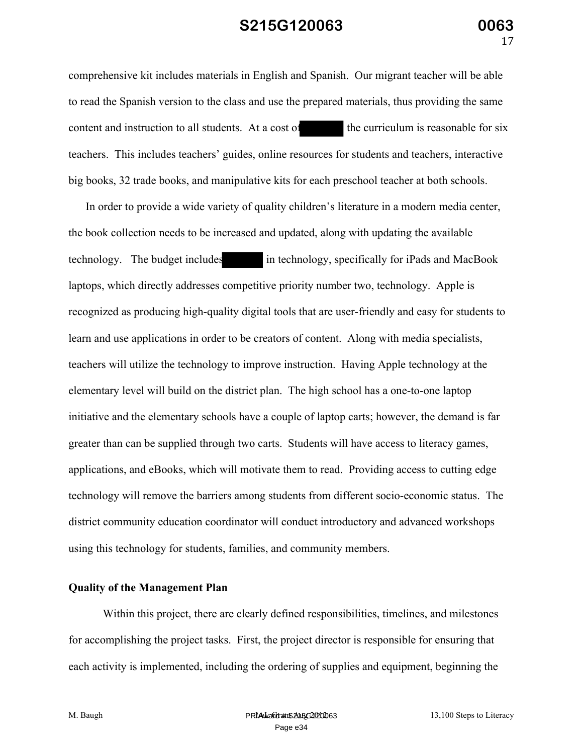comprehensive kit includes materials in English and Spanish. Our migrant teacher will be able to read the Spanish version to the class and use the prepared materials, thus providing the same content and instruction to all students. At a cost of the curriculum is reasonable for six teachers. This includes teachers' guides, online resources for students and teachers, interactive big books, 32 trade books, and manipulative kits for each preschool teacher at both schools.

In order to provide a wide variety of quality children's literature in a modern media center, the book collection needs to be increased and updated, along with updating the available technology. The budget includes in technology, specifically for iPads and MacBook laptops, which directly addresses competitive priority number two, technology. Apple is recognized as producing high-quality digital tools that are user-friendly and easy for students to learn and use applications in order to be creators of content. Along with media specialists, teachers will utilize the technology to improve instruction. Having Apple technology at the elementary level will build on the district plan. The high school has a one-to-one laptop initiative and the elementary schools have a couple of laptop carts; however, the demand is far greater than can be supplied through two carts. Students will have access to literacy games, applications, and eBooks, which will motivate them to read. Providing access to cutting edge technology will remove the barriers among students from different socio-economic status. The district community education coordinator will conduct introductory and advanced workshops using this technology for students, families, and community members.

#### **Quality of the Management Plan**

Within this project, there are clearly defined responsibilities, timelines, and milestones for accomplishing the project tasks. First, the project director is responsible for ensuring that each activity is implemented, including the ordering of supplies and equipment, beginning the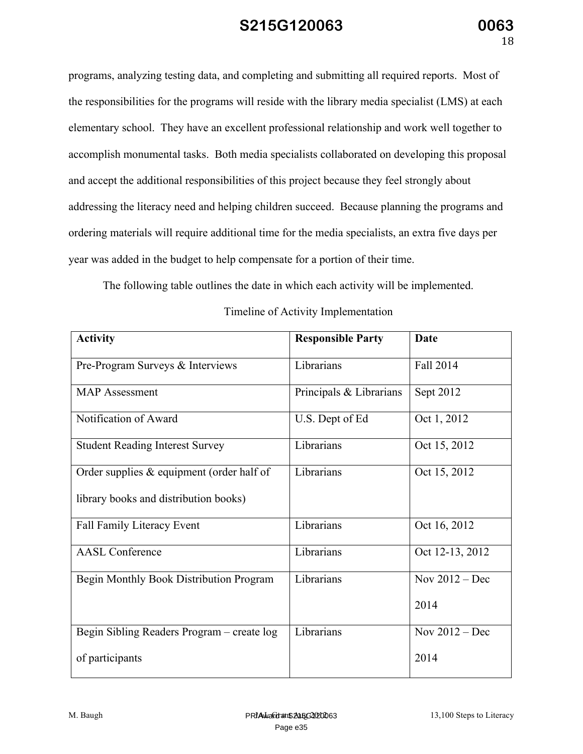programs, analyzing testing data, and completing and submitting all required reports. Most of the responsibilities for the programs will reside with the library media specialist (LMS) at each elementary school. They have an excellent professional relationship and work well together to accomplish monumental tasks. Both media specialists collaborated on developing this proposal and accept the additional responsibilities of this project because they feel strongly about addressing the literacy need and helping children succeed. Because planning the programs and ordering materials will require additional time for the media specialists, an extra five days per year was added in the budget to help compensate for a portion of their time.

The following table outlines the date in which each activity will be implemented.

| <b>Activity</b>                             | <b>Responsible Party</b> | <b>Date</b>      |
|---------------------------------------------|--------------------------|------------------|
| Pre-Program Surveys & Interviews            | Librarians               | Fall 2014        |
| <b>MAP</b> Assessment                       | Principals & Librarians  | Sept 2012        |
| Notification of Award                       | U.S. Dept of Ed          | Oct 1, 2012      |
| <b>Student Reading Interest Survey</b>      | Librarians               | Oct 15, 2012     |
| Order supplies $&$ equipment (order half of | Librarians               | Oct 15, 2012     |
| library books and distribution books)       |                          |                  |
| <b>Fall Family Literacy Event</b>           | Librarians               | Oct 16, 2012     |
| <b>AASL Conference</b>                      | Librarians               | Oct 12-13, 2012  |
| Begin Monthly Book Distribution Program     | Librarians               | Nov $2012 - Dec$ |
|                                             |                          | 2014             |
| Begin Sibling Readers Program – create log  | Librarians               | Nov $2012 - Dec$ |
| of participants                             |                          | 2014             |

Timeline of Activity Implementation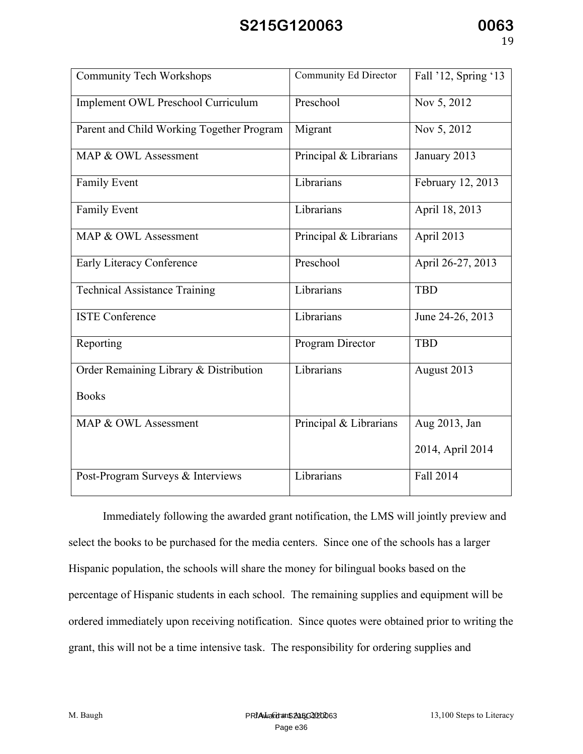| <b>Community Tech Workshops</b>           | Community Ed Director  | Fall '12, Spring '13 |
|-------------------------------------------|------------------------|----------------------|
| Implement OWL Preschool Curriculum        | Preschool              | Nov 5, 2012          |
| Parent and Child Working Together Program | Migrant                | Nov 5, 2012          |
| MAP & OWL Assessment                      | Principal & Librarians | January 2013         |
| Family Event                              | Librarians             | February 12, 2013    |
| <b>Family Event</b>                       | Librarians             | April 18, 2013       |
| MAP & OWL Assessment                      | Principal & Librarians | April 2013           |
| Early Literacy Conference                 | Preschool              | April 26-27, 2013    |
| <b>Technical Assistance Training</b>      | Librarians             | <b>TBD</b>           |
| <b>ISTE Conference</b>                    | Librarians             | June 24-26, 2013     |
| Reporting                                 | Program Director       | <b>TBD</b>           |
| Order Remaining Library & Distribution    | Librarians             | August 2013          |
| <b>Books</b>                              |                        |                      |
| MAP & OWL Assessment                      | Principal & Librarians | Aug 2013, Jan        |
|                                           |                        | 2014, April 2014     |
| Post-Program Surveys & Interviews         | Librarians             | Fall 2014            |

Immediately following the awarded grant notification, the LMS will jointly preview and select the books to be purchased for the media centers. Since one of the schools has a larger Hispanic population, the schools will share the money for bilingual books based on the percentage of Hispanic students in each school. The remaining supplies and equipment will be ordered immediately upon receiving notification. Since quotes were obtained prior to writing the grant, this will not be a time intensive task. The responsibility for ordering supplies and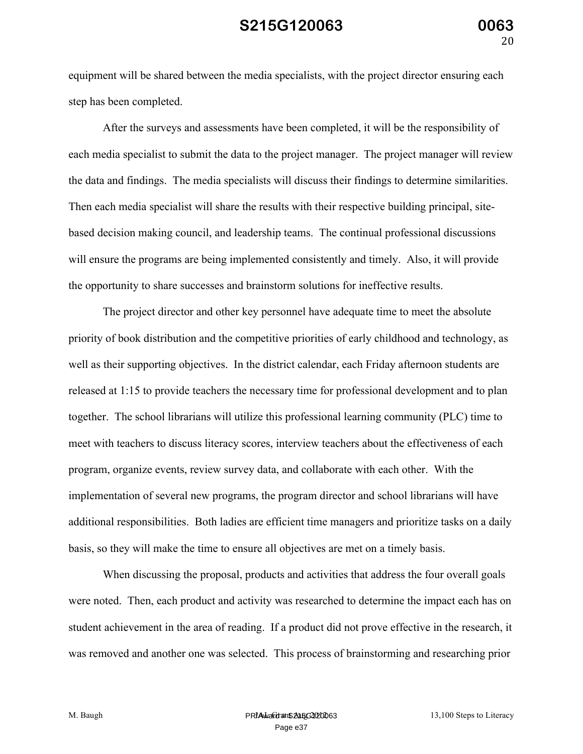equipment will be shared between the media specialists, with the project director ensuring each step has been completed.

After the surveys and assessments have been completed, it will be the responsibility of each media specialist to submit the data to the project manager. The project manager will review the data and findings. The media specialists will discuss their findings to determine similarities. Then each media specialist will share the results with their respective building principal, sitebased decision making council, and leadership teams. The continual professional discussions will ensure the programs are being implemented consistently and timely. Also, it will provide the opportunity to share successes and brainstorm solutions for ineffective results.

The project director and other key personnel have adequate time to meet the absolute priority of book distribution and the competitive priorities of early childhood and technology, as well as their supporting objectives. In the district calendar, each Friday afternoon students are released at 1:15 to provide teachers the necessary time for professional development and to plan together. The school librarians will utilize this professional learning community (PLC) time to meet with teachers to discuss literacy scores, interview teachers about the effectiveness of each program, organize events, review survey data, and collaborate with each other. With the implementation of several new programs, the program director and school librarians will have additional responsibilities. Both ladies are efficient time managers and prioritize tasks on a daily basis, so they will make the time to ensure all objectives are met on a timely basis.

When discussing the proposal, products and activities that address the four overall goals were noted. Then, each product and activity was researched to determine the impact each has on student achievement in the area of reading. If a product did not prove effective in the research, it was removed and another one was selected. This process of brainstorming and researching prior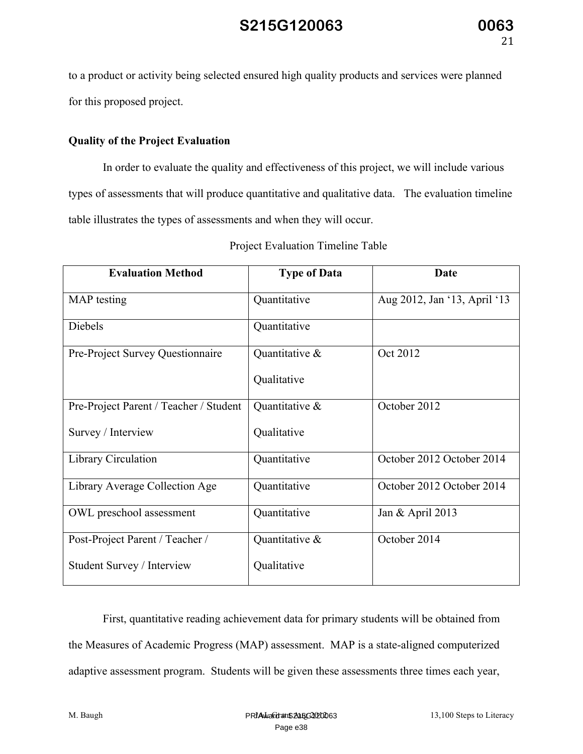to a product or activity being selected ensured high quality products and services were planned for this proposed project.

#### **Quality of the Project Evaluation**

In order to evaluate the quality and effectiveness of this project, we will include various types of assessments that will produce quantitative and qualitative data. The evaluation timeline table illustrates the types of assessments and when they will occur.

| <b>Evaluation Method</b>               | <b>Type of Data</b> | Date                         |
|----------------------------------------|---------------------|------------------------------|
| MAP testing                            | Quantitative        | Aug 2012, Jan '13, April '13 |
| Diebels                                | Quantitative        |                              |
| Pre-Project Survey Questionnaire       | Quantitative &      | Oct 2012                     |
|                                        | Qualitative         |                              |
| Pre-Project Parent / Teacher / Student | Quantitative &      | October 2012                 |
| Survey / Interview                     | Qualitative         |                              |
| Library Circulation                    | Quantitative        | October 2012 October 2014    |
| Library Average Collection Age         | Quantitative        | October 2012 October 2014    |
| OWL preschool assessment               | Quantitative        | Jan & April 2013             |
| Post-Project Parent / Teacher /        | Quantitative &      | October 2014                 |
| Student Survey / Interview             | Qualitative         |                              |

Project Evaluation Timeline Table

First, quantitative reading achievement data for primary students will be obtained from the Measures of Academic Progress (MAP) assessment. MAP is a state-aligned computerized adaptive assessment program. Students will be given these assessments three times each year,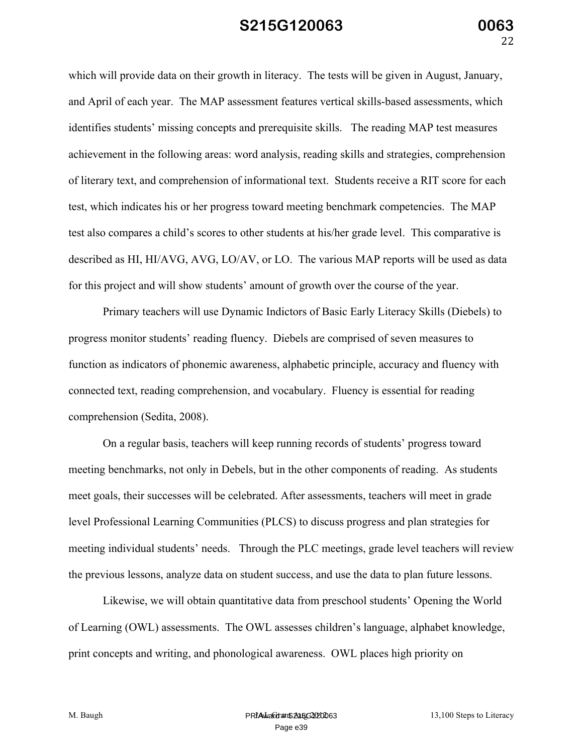which will provide data on their growth in literacy. The tests will be given in August, January, and April of each year. The MAP assessment features vertical skills-based assessments, which identifies students' missing concepts and prerequisite skills. The reading MAP test measures achievement in the following areas: word analysis, reading skills and strategies, comprehension of literary text, and comprehension of informational text. Students receive a RIT score for each test, which indicates his or her progress toward meeting benchmark competencies. The MAP test also compares a child's scores to other students at his/her grade level. This comparative is described as HI, HI/AVG, AVG, LO/AV, or LO. The various MAP reports will be used as data for this project and will show students' amount of growth over the course of the year.

Primary teachers will use Dynamic Indictors of Basic Early Literacy Skills (Diebels) to progress monitor students' reading fluency. Diebels are comprised of seven measures to function as indicators of phonemic awareness, alphabetic principle, accuracy and fluency with connected text, reading comprehension, and vocabulary. Fluency is essential for reading comprehension (Sedita, 2008).

On a regular basis, teachers will keep running records of students' progress toward meeting benchmarks, not only in Debels, but in the other components of reading. As students meet goals, their successes will be celebrated. After assessments, teachers will meet in grade level Professional Learning Communities (PLCS) to discuss progress and plan strategies for meeting individual students' needs. Through the PLC meetings, grade level teachers will review the previous lessons, analyze data on student success, and use the data to plan future lessons.

Likewise, we will obtain quantitative data from preschool students' Opening the World of Learning (OWL) assessments. The OWL assesses children's language, alphabet knowledge, print concepts and writing, and phonological awareness. OWL places high priority on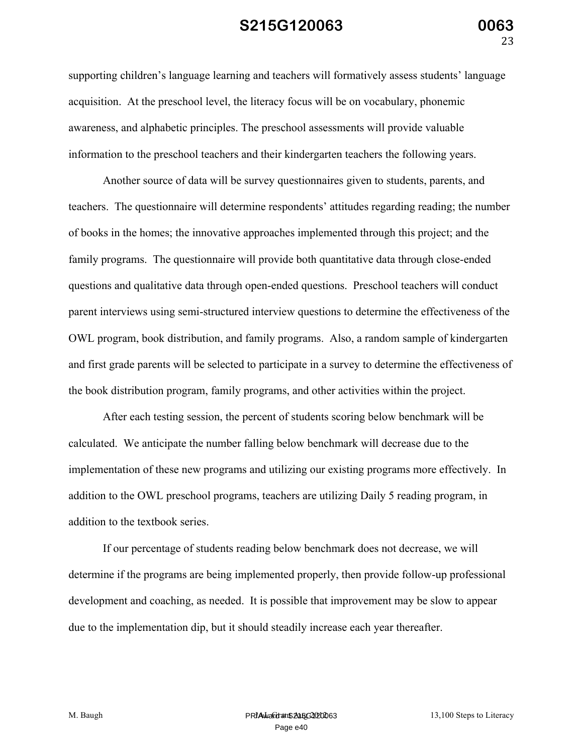supporting children's language learning and teachers will formatively assess students' language acquisition. At the preschool level, the literacy focus will be on vocabulary, phonemic awareness, and alphabetic principles. The preschool assessments will provide valuable information to the preschool teachers and their kindergarten teachers the following years.

Another source of data will be survey questionnaires given to students, parents, and teachers. The questionnaire will determine respondents' attitudes regarding reading; the number of books in the homes; the innovative approaches implemented through this project; and the family programs. The questionnaire will provide both quantitative data through close-ended questions and qualitative data through open-ended questions. Preschool teachers will conduct parent interviews using semi-structured interview questions to determine the effectiveness of the OWL program, book distribution, and family programs. Also, a random sample of kindergarten and first grade parents will be selected to participate in a survey to determine the effectiveness of the book distribution program, family programs, and other activities within the project.

After each testing session, the percent of students scoring below benchmark will be calculated. We anticipate the number falling below benchmark will decrease due to the implementation of these new programs and utilizing our existing programs more effectively. In addition to the OWL preschool programs, teachers are utilizing Daily 5 reading program, in addition to the textbook series.

If our percentage of students reading below benchmark does not decrease, we will determine if the programs are being implemented properly, then provide follow-up professional development and coaching, as needed. It is possible that improvement may be slow to appear due to the implementation dip, but it should steadily increase each year thereafter.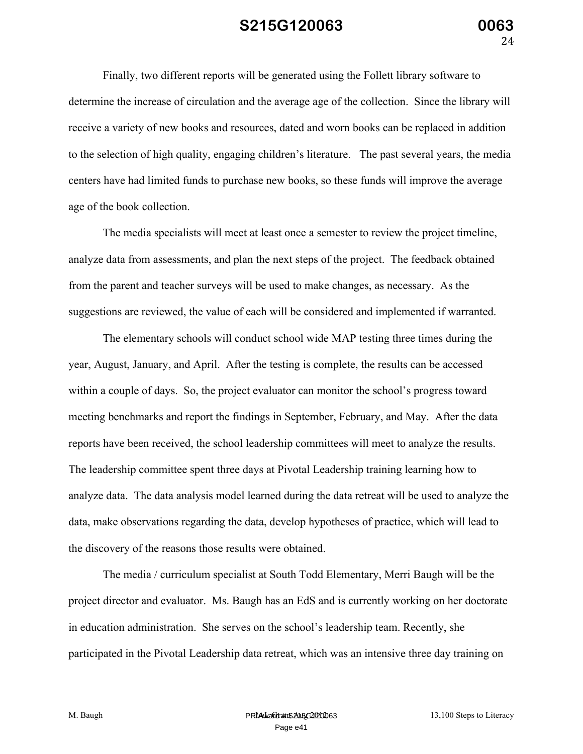Finally, two different reports will be generated using the Follett library software to determine the increase of circulation and the average age of the collection. Since the library will receive a variety of new books and resources, dated and worn books can be replaced in addition to the selection of high quality, engaging children's literature. The past several years, the media centers have had limited funds to purchase new books, so these funds will improve the average age of the book collection.

The media specialists will meet at least once a semester to review the project timeline, analyze data from assessments, and plan the next steps of the project. The feedback obtained from the parent and teacher surveys will be used to make changes, as necessary. As the suggestions are reviewed, the value of each will be considered and implemented if warranted.

The elementary schools will conduct school wide MAP testing three times during the year, August, January, and April. After the testing is complete, the results can be accessed within a couple of days. So, the project evaluator can monitor the school's progress toward meeting benchmarks and report the findings in September, February, and May. After the data reports have been received, the school leadership committees will meet to analyze the results. The leadership committee spent three days at Pivotal Leadership training learning how to analyze data. The data analysis model learned during the data retreat will be used to analyze the data, make observations regarding the data, develop hypotheses of practice, which will lead to the discovery of the reasons those results were obtained.

The media / curriculum specialist at South Todd Elementary, Merri Baugh will be the project director and evaluator. Ms. Baugh has an EdS and is currently working on her doctorate in education administration. She serves on the school's leadership team. Recently, she participated in the Pivotal Leadership data retreat, which was an intensive three day training on